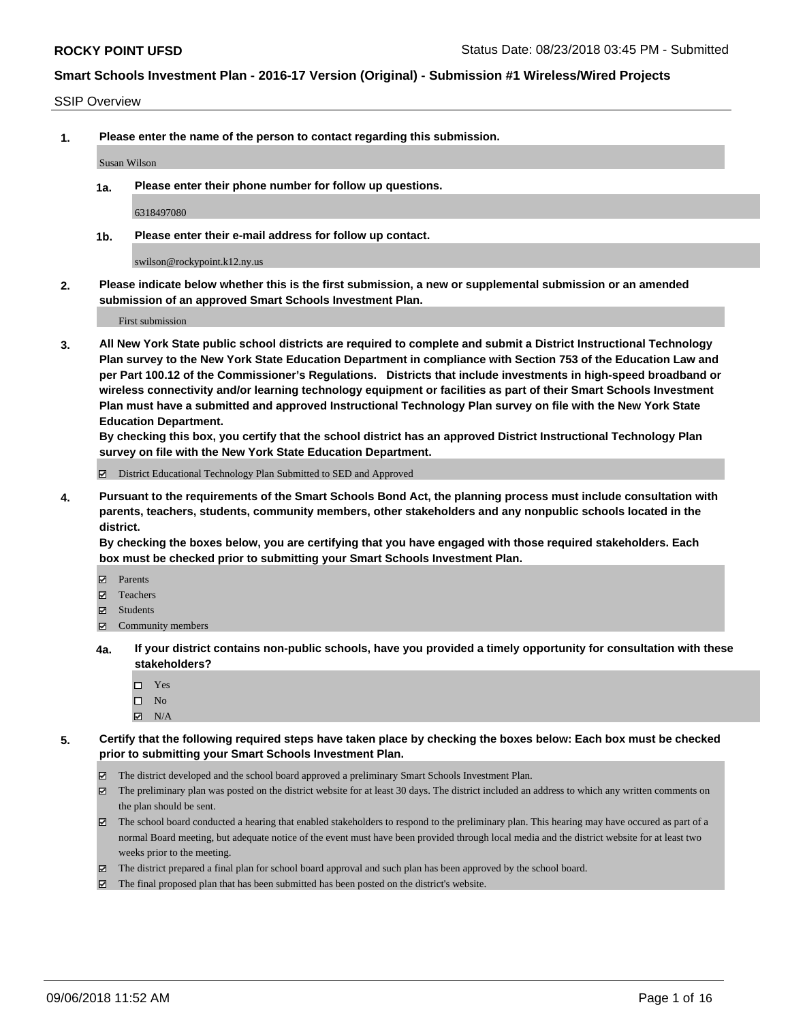#### SSIP Overview

**1. Please enter the name of the person to contact regarding this submission.**

#### Susan Wilson

**1a. Please enter their phone number for follow up questions.**

6318497080

**1b. Please enter their e-mail address for follow up contact.**

swilson@rockypoint.k12.ny.us

**2. Please indicate below whether this is the first submission, a new or supplemental submission or an amended submission of an approved Smart Schools Investment Plan.**

First submission

**3. All New York State public school districts are required to complete and submit a District Instructional Technology Plan survey to the New York State Education Department in compliance with Section 753 of the Education Law and per Part 100.12 of the Commissioner's Regulations. Districts that include investments in high-speed broadband or wireless connectivity and/or learning technology equipment or facilities as part of their Smart Schools Investment Plan must have a submitted and approved Instructional Technology Plan survey on file with the New York State Education Department.** 

**By checking this box, you certify that the school district has an approved District Instructional Technology Plan survey on file with the New York State Education Department.**

District Educational Technology Plan Submitted to SED and Approved

**4. Pursuant to the requirements of the Smart Schools Bond Act, the planning process must include consultation with parents, teachers, students, community members, other stakeholders and any nonpublic schools located in the district.** 

**By checking the boxes below, you are certifying that you have engaged with those required stakeholders. Each box must be checked prior to submitting your Smart Schools Investment Plan.**

- **Parents**
- Teachers
- **☑** Students
- **☑** Community members
- **4a. If your district contains non-public schools, have you provided a timely opportunity for consultation with these stakeholders?**
	- Yes
	- $\square$  No
	- $\boxtimes$  N/A
- **5. Certify that the following required steps have taken place by checking the boxes below: Each box must be checked prior to submitting your Smart Schools Investment Plan.**
	- The district developed and the school board approved a preliminary Smart Schools Investment Plan.
	- $\boxtimes$  The preliminary plan was posted on the district website for at least 30 days. The district included an address to which any written comments on the plan should be sent.
	- The school board conducted a hearing that enabled stakeholders to respond to the preliminary plan. This hearing may have occured as part of a normal Board meeting, but adequate notice of the event must have been provided through local media and the district website for at least two weeks prior to the meeting.
	- The district prepared a final plan for school board approval and such plan has been approved by the school board.
	- The final proposed plan that has been submitted has been posted on the district's website.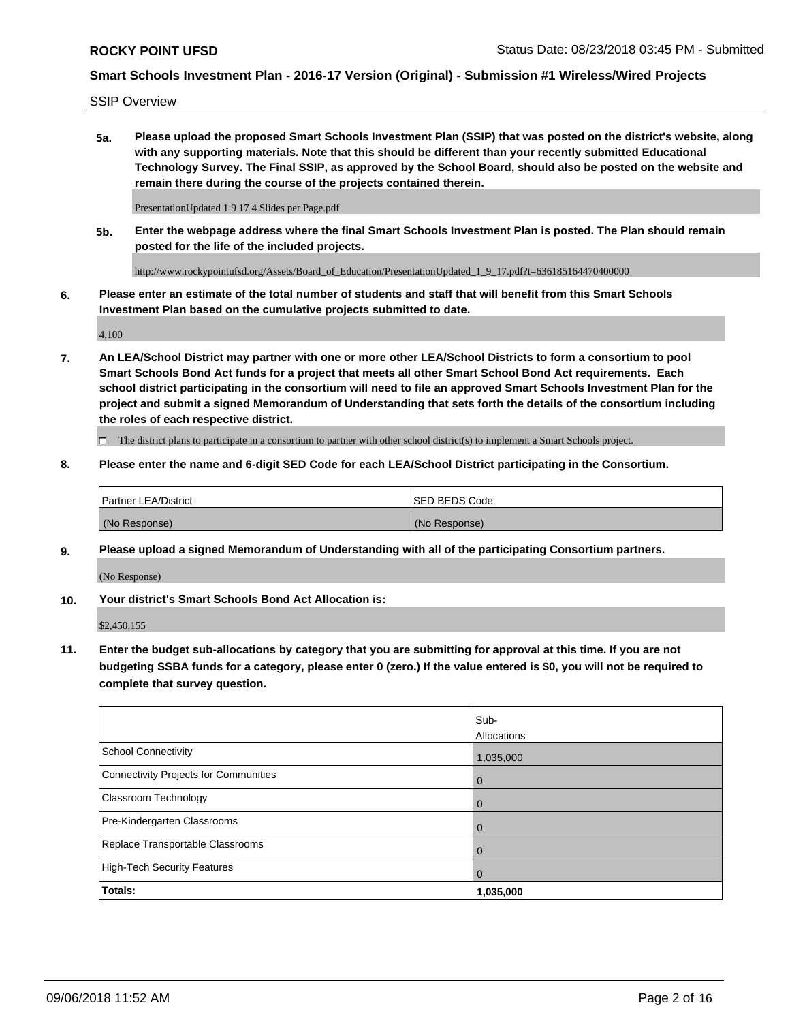SSIP Overview

**5a. Please upload the proposed Smart Schools Investment Plan (SSIP) that was posted on the district's website, along with any supporting materials. Note that this should be different than your recently submitted Educational Technology Survey. The Final SSIP, as approved by the School Board, should also be posted on the website and remain there during the course of the projects contained therein.**

PresentationUpdated 1 9 17 4 Slides per Page.pdf

**5b. Enter the webpage address where the final Smart Schools Investment Plan is posted. The Plan should remain posted for the life of the included projects.**

http://www.rockypointufsd.org/Assets/Board\_of\_Education/PresentationUpdated\_1\_9\_17.pdf?t=636185164470400000

**6. Please enter an estimate of the total number of students and staff that will benefit from this Smart Schools Investment Plan based on the cumulative projects submitted to date.**

4,100

**7. An LEA/School District may partner with one or more other LEA/School Districts to form a consortium to pool Smart Schools Bond Act funds for a project that meets all other Smart School Bond Act requirements. Each school district participating in the consortium will need to file an approved Smart Schools Investment Plan for the project and submit a signed Memorandum of Understanding that sets forth the details of the consortium including the roles of each respective district.**

 $\Box$  The district plans to participate in a consortium to partner with other school district(s) to implement a Smart Schools project.

### **8. Please enter the name and 6-digit SED Code for each LEA/School District participating in the Consortium.**

| <sup>1</sup> Partner LEA/District | <b>ISED BEDS Code</b> |
|-----------------------------------|-----------------------|
| (No Response)                     | (No Response)         |

### **9. Please upload a signed Memorandum of Understanding with all of the participating Consortium partners.**

(No Response)

**10. Your district's Smart Schools Bond Act Allocation is:**

\$2,450,155

**11. Enter the budget sub-allocations by category that you are submitting for approval at this time. If you are not budgeting SSBA funds for a category, please enter 0 (zero.) If the value entered is \$0, you will not be required to complete that survey question.**

|                                       | Sub-<br>Allocations |
|---------------------------------------|---------------------|
| School Connectivity                   | 1,035,000           |
| Connectivity Projects for Communities | $\overline{0}$      |
| <b>Classroom Technology</b>           | $\overline{0}$      |
| Pre-Kindergarten Classrooms           | $\mathbf 0$         |
| Replace Transportable Classrooms      | $\Omega$            |
| High-Tech Security Features           | $\Omega$            |
| Totals:                               | 1,035,000           |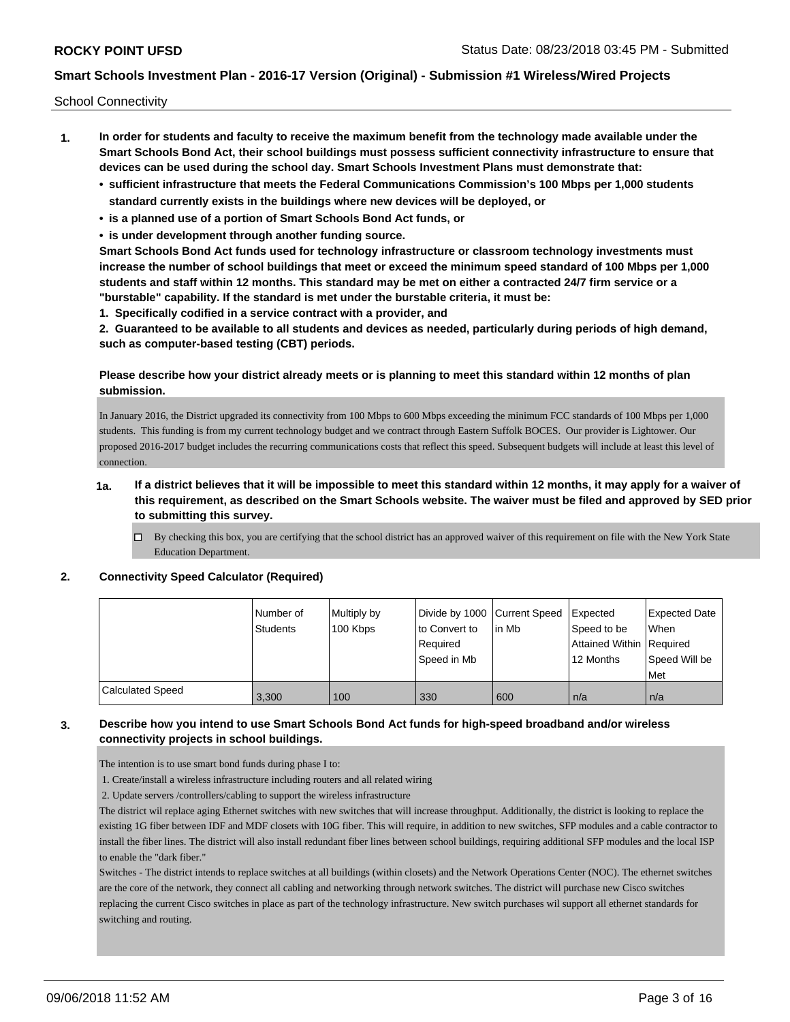School Connectivity

- **1. In order for students and faculty to receive the maximum benefit from the technology made available under the Smart Schools Bond Act, their school buildings must possess sufficient connectivity infrastructure to ensure that devices can be used during the school day. Smart Schools Investment Plans must demonstrate that:**
	- **• sufficient infrastructure that meets the Federal Communications Commission's 100 Mbps per 1,000 students standard currently exists in the buildings where new devices will be deployed, or**
	- **• is a planned use of a portion of Smart Schools Bond Act funds, or**
	- **• is under development through another funding source.**

**Smart Schools Bond Act funds used for technology infrastructure or classroom technology investments must increase the number of school buildings that meet or exceed the minimum speed standard of 100 Mbps per 1,000 students and staff within 12 months. This standard may be met on either a contracted 24/7 firm service or a "burstable" capability. If the standard is met under the burstable criteria, it must be:**

**1. Specifically codified in a service contract with a provider, and**

**2. Guaranteed to be available to all students and devices as needed, particularly during periods of high demand, such as computer-based testing (CBT) periods.**

### **Please describe how your district already meets or is planning to meet this standard within 12 months of plan submission.**

In January 2016, the District upgraded its connectivity from 100 Mbps to 600 Mbps exceeding the minimum FCC standards of 100 Mbps per 1,000 students. This funding is from my current technology budget and we contract through Eastern Suffolk BOCES. Our provider is Lightower. Our proposed 2016-2017 budget includes the recurring communications costs that reflect this speed. Subsequent budgets will include at least this level of connection.

### **1a. If a district believes that it will be impossible to meet this standard within 12 months, it may apply for a waiver of this requirement, as described on the Smart Schools website. The waiver must be filed and approved by SED prior to submitting this survey.**

 $\Box$  By checking this box, you are certifying that the school district has an approved waiver of this requirement on file with the New York State Education Department.

#### **2. Connectivity Speed Calculator (Required)**

|                         | Number of<br><b>Students</b> | Multiply by<br>100 Kbps | to Convert to<br>Reauired<br>Speed in Mb | Divide by 1000 Current Speed Expected<br>l in Mb | Speed to be<br>Attained Within Required<br>12 Months | <b>Expected Date</b><br>When<br>Speed Will be<br>Met |
|-------------------------|------------------------------|-------------------------|------------------------------------------|--------------------------------------------------|------------------------------------------------------|------------------------------------------------------|
| <b>Calculated Speed</b> | 3.300                        | 100                     | 330                                      | 600                                              | n/a                                                  | n/a                                                  |

### **3. Describe how you intend to use Smart Schools Bond Act funds for high-speed broadband and/or wireless connectivity projects in school buildings.**

The intention is to use smart bond funds during phase I to:

1. Create/install a wireless infrastructure including routers and all related wiring

2. Update servers /controllers/cabling to support the wireless infrastructure

The district wil replace aging Ethernet switches with new switches that will increase throughput. Additionally, the district is looking to replace the existing 1G fiber between IDF and MDF closets with 10G fiber. This will require, in addition to new switches, SFP modules and a cable contractor to install the fiber lines. The district will also install redundant fiber lines between school buildings, requiring additional SFP modules and the local ISP to enable the "dark fiber."

Switches - The district intends to replace switches at all buildings (within closets) and the Network Operations Center (NOC). The ethernet switches are the core of the network, they connect all cabling and networking through network switches. The district will purchase new Cisco switches replacing the current Cisco switches in place as part of the technology infrastructure. New switch purchases wil support all ethernet standards for switching and routing.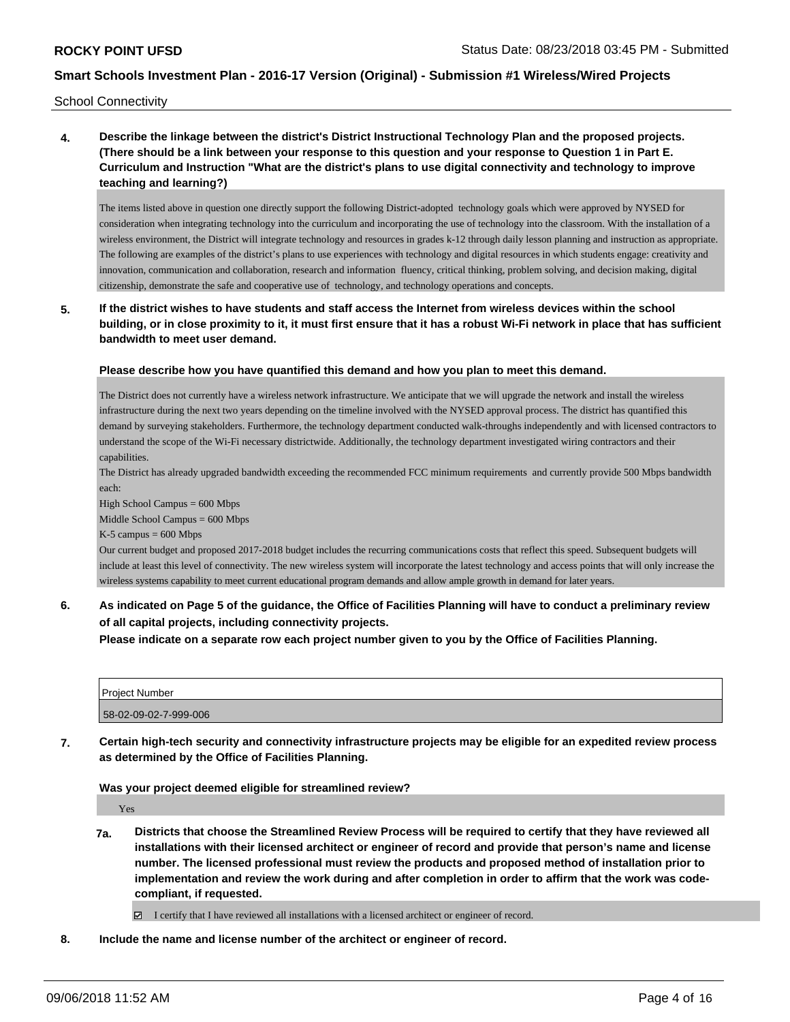School Connectivity

**4. Describe the linkage between the district's District Instructional Technology Plan and the proposed projects. (There should be a link between your response to this question and your response to Question 1 in Part E. Curriculum and Instruction "What are the district's plans to use digital connectivity and technology to improve teaching and learning?)**

The items listed above in question one directly support the following District-adopted technology goals which were approved by NYSED for consideration when integrating technology into the curriculum and incorporating the use of technology into the classroom. With the installation of a wireless environment, the District will integrate technology and resources in grades k-12 through daily lesson planning and instruction as appropriate. The following are examples of the district's plans to use experiences with technology and digital resources in which students engage: creativity and innovation, communication and collaboration, research and information fluency, critical thinking, problem solving, and decision making, digital citizenship, demonstrate the safe and cooperative use of technology, and technology operations and concepts.

**5. If the district wishes to have students and staff access the Internet from wireless devices within the school building, or in close proximity to it, it must first ensure that it has a robust Wi-Fi network in place that has sufficient bandwidth to meet user demand.**

#### **Please describe how you have quantified this demand and how you plan to meet this demand.**

The District does not currently have a wireless network infrastructure. We anticipate that we will upgrade the network and install the wireless infrastructure during the next two years depending on the timeline involved with the NYSED approval process. The district has quantified this demand by surveying stakeholders. Furthermore, the technology department conducted walk-throughs independently and with licensed contractors to understand the scope of the Wi-Fi necessary districtwide. Additionally, the technology department investigated wiring contractors and their capabilities.

The District has already upgraded bandwidth exceeding the recommended FCC minimum requirements and currently provide 500 Mbps bandwidth each:

High School Campus = 600 Mbps

Middle School Campus = 600 Mbps

 $K-5$  campus = 600 Mbps

Our current budget and proposed 2017-2018 budget includes the recurring communications costs that reflect this speed. Subsequent budgets will include at least this level of connectivity. The new wireless system will incorporate the latest technology and access points that will only increase the wireless systems capability to meet current educational program demands and allow ample growth in demand for later years.

**6. As indicated on Page 5 of the guidance, the Office of Facilities Planning will have to conduct a preliminary review of all capital projects, including connectivity projects.**

**Please indicate on a separate row each project number given to you by the Office of Facilities Planning.**

| Proiect Number        |  |
|-----------------------|--|
| 58-02-09-02-7-999-006 |  |

**7. Certain high-tech security and connectivity infrastructure projects may be eligible for an expedited review process as determined by the Office of Facilities Planning.**

#### **Was your project deemed eligible for streamlined review?**

Yes

**7a. Districts that choose the Streamlined Review Process will be required to certify that they have reviewed all installations with their licensed architect or engineer of record and provide that person's name and license number. The licensed professional must review the products and proposed method of installation prior to implementation and review the work during and after completion in order to affirm that the work was codecompliant, if requested.**

I certify that I have reviewed all installations with a licensed architect or engineer of record.

**8. Include the name and license number of the architect or engineer of record.**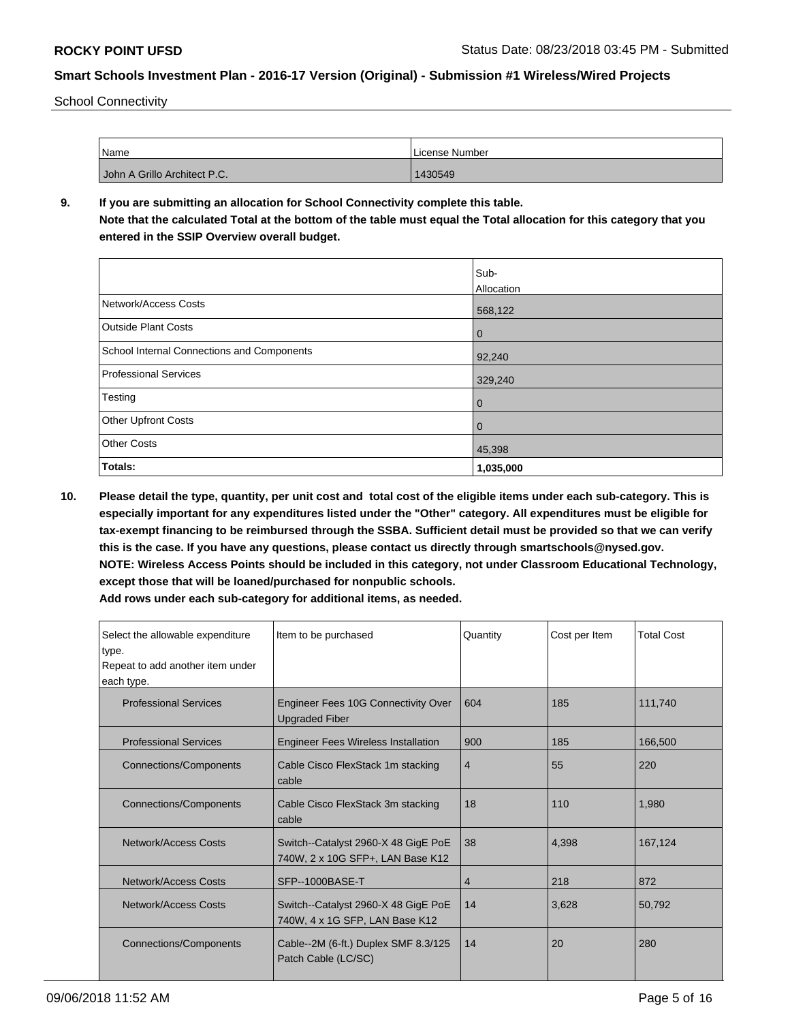School Connectivity

| Name                         | License Number |
|------------------------------|----------------|
| John A Grillo Architect P.C. | 1430549        |

## **9. If you are submitting an allocation for School Connectivity complete this table. Note that the calculated Total at the bottom of the table must equal the Total allocation for this category that you entered in the SSIP Overview overall budget.**

|                                            | Sub-           |
|--------------------------------------------|----------------|
|                                            | Allocation     |
| Network/Access Costs                       | 568,122        |
| <b>Outside Plant Costs</b>                 | $\overline{0}$ |
| School Internal Connections and Components | 92,240         |
| <b>Professional Services</b>               | 329,240        |
| Testing                                    | $\overline{0}$ |
| <b>Other Upfront Costs</b>                 | $\overline{0}$ |
| <b>Other Costs</b>                         | 45,398         |
| Totals:                                    | 1,035,000      |

**10. Please detail the type, quantity, per unit cost and total cost of the eligible items under each sub-category. This is especially important for any expenditures listed under the "Other" category. All expenditures must be eligible for tax-exempt financing to be reimbursed through the SSBA. Sufficient detail must be provided so that we can verify this is the case. If you have any questions, please contact us directly through smartschools@nysed.gov. NOTE: Wireless Access Points should be included in this category, not under Classroom Educational Technology, except those that will be loaned/purchased for nonpublic schools.**

| Select the allowable expenditure<br>type.<br>Repeat to add another item under<br>each type. | Item to be purchased                                                    | Quantity | Cost per Item | <b>Total Cost</b> |
|---------------------------------------------------------------------------------------------|-------------------------------------------------------------------------|----------|---------------|-------------------|
| <b>Professional Services</b>                                                                | Engineer Fees 10G Connectivity Over<br><b>Upgraded Fiber</b>            | 604      | 185           | 111.740           |
| <b>Professional Services</b>                                                                | <b>Engineer Fees Wireless Installation</b>                              | 900      | 185           | 166.500           |
| <b>Connections/Components</b>                                                               | Cable Cisco FlexStack 1m stacking<br>cable                              | 4        | 55            | 220               |
| <b>Connections/Components</b>                                                               | Cable Cisco FlexStack 3m stacking<br>cable                              | 18       | 110           | 1.980             |
| Network/Access Costs                                                                        | Switch--Catalyst 2960-X 48 GigE PoE<br>740W, 2 x 10G SFP+, LAN Base K12 | 38       | 4.398         | 167.124           |
| Network/Access Costs                                                                        | SFP--1000BASE-T                                                         | 4        | 218           | 872               |
| Network/Access Costs                                                                        | Switch--Catalyst 2960-X 48 GigE PoE<br>740W, 4 x 1G SFP, LAN Base K12   | 14       | 3,628         | 50,792            |
| <b>Connections/Components</b>                                                               | Cable--2M (6-ft.) Duplex SMF 8.3/125<br>Patch Cable (LC/SC)             | 14       | 20            | 280               |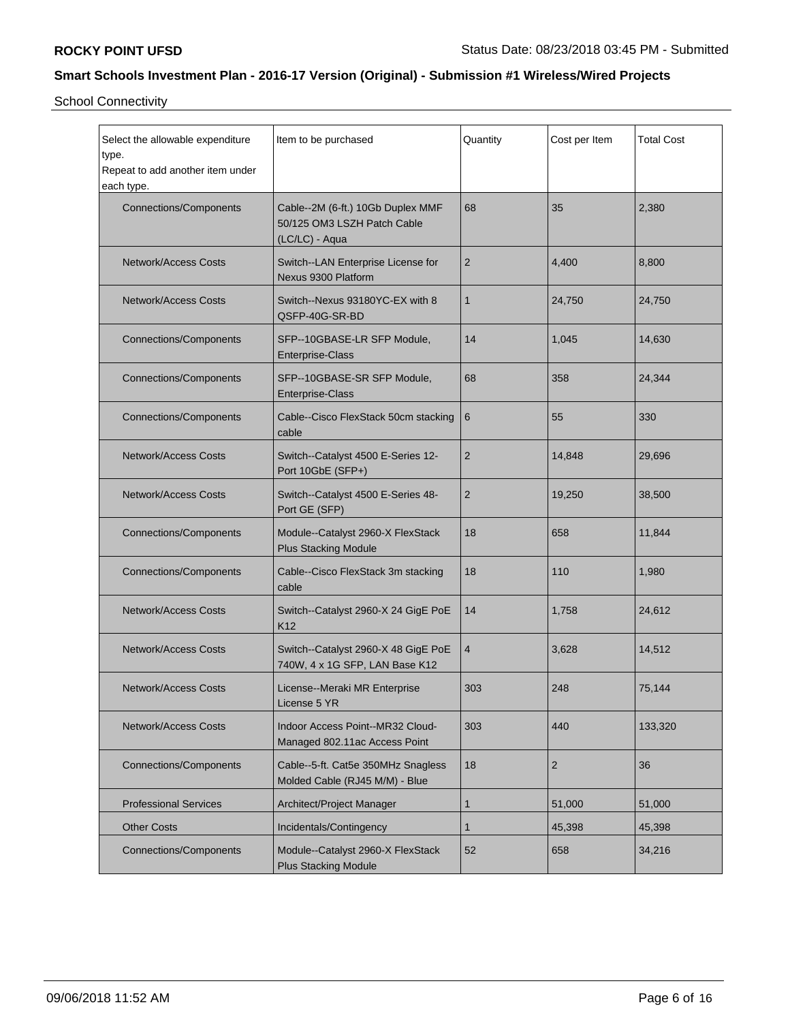School Connectivity

| Select the allowable expenditure<br>type.<br>Repeat to add another item under<br>each type. | Item to be purchased<br>Quantity                                                   |                | Cost per Item  | <b>Total Cost</b> |
|---------------------------------------------------------------------------------------------|------------------------------------------------------------------------------------|----------------|----------------|-------------------|
| <b>Connections/Components</b>                                                               | Cable--2M (6-ft.) 10Gb Duplex MMF<br>50/125 OM3 LSZH Patch Cable<br>(LC/LC) - Aqua | 68             | 35             | 2,380             |
| <b>Network/Access Costs</b>                                                                 | Switch--LAN Enterprise License for<br>Nexus 9300 Platform                          | $\overline{2}$ | 4,400          | 8,800             |
| <b>Network/Access Costs</b>                                                                 | Switch--Nexus 93180YC-EX with 8<br>QSFP-40G-SR-BD                                  | $\mathbf{1}$   | 24,750         | 24,750            |
| <b>Connections/Components</b>                                                               | SFP--10GBASE-LR SFP Module,<br>Enterprise-Class                                    | 14             | 1,045          | 14,630            |
| <b>Connections/Components</b>                                                               | SFP--10GBASE-SR SFP Module,<br>Enterprise-Class                                    | 68             | 358            | 24,344            |
| <b>Connections/Components</b>                                                               | Cable--Cisco FlexStack 50cm stacking<br>cable                                      | 6              | 55             | 330               |
| <b>Network/Access Costs</b>                                                                 | Switch--Catalyst 4500 E-Series 12-<br>$\overline{2}$<br>Port 10GbE (SFP+)          |                | 14,848         | 29,696            |
| <b>Network/Access Costs</b>                                                                 | Switch--Catalyst 4500 E-Series 48-<br>Port GE (SFP)                                | $\overline{2}$ | 19,250         | 38,500            |
| <b>Connections/Components</b>                                                               | Module--Catalyst 2960-X FlexStack<br><b>Plus Stacking Module</b>                   | 18             | 658            | 11,844            |
| <b>Connections/Components</b>                                                               | Cable--Cisco FlexStack 3m stacking<br>cable                                        | 18             | 110            | 1,980             |
| <b>Network/Access Costs</b>                                                                 | Switch--Catalyst 2960-X 24 GigE PoE<br>K <sub>12</sub>                             | 14             | 1,758          | 24,612            |
| <b>Network/Access Costs</b>                                                                 | Switch--Catalyst 2960-X 48 GigE PoE<br>740W, 4 x 1G SFP, LAN Base K12              | $\overline{4}$ | 3,628          | 14,512            |
| <b>Network/Access Costs</b>                                                                 | License--Meraki MR Enterprise<br>License 5 YR                                      | 303            | 248            | 75,144            |
| <b>Network/Access Costs</b>                                                                 | Indoor Access Point--MR32 Cloud-<br>Managed 802.11ac Access Point                  | 303            | 440            | 133,320           |
| <b>Connections/Components</b>                                                               | Cable--5-ft. Cat5e 350MHz Snagless<br>Molded Cable (RJ45 M/M) - Blue               | 18             | $\overline{2}$ | 36                |
| <b>Professional Services</b>                                                                | Architect/Project Manager                                                          | 1              | 51,000         | 51,000            |
| <b>Other Costs</b>                                                                          | Incidentals/Contingency                                                            | 1              | 45,398         | 45,398            |
| <b>Connections/Components</b>                                                               | Module--Catalyst 2960-X FlexStack<br><b>Plus Stacking Module</b>                   | 52             | 658            | 34,216            |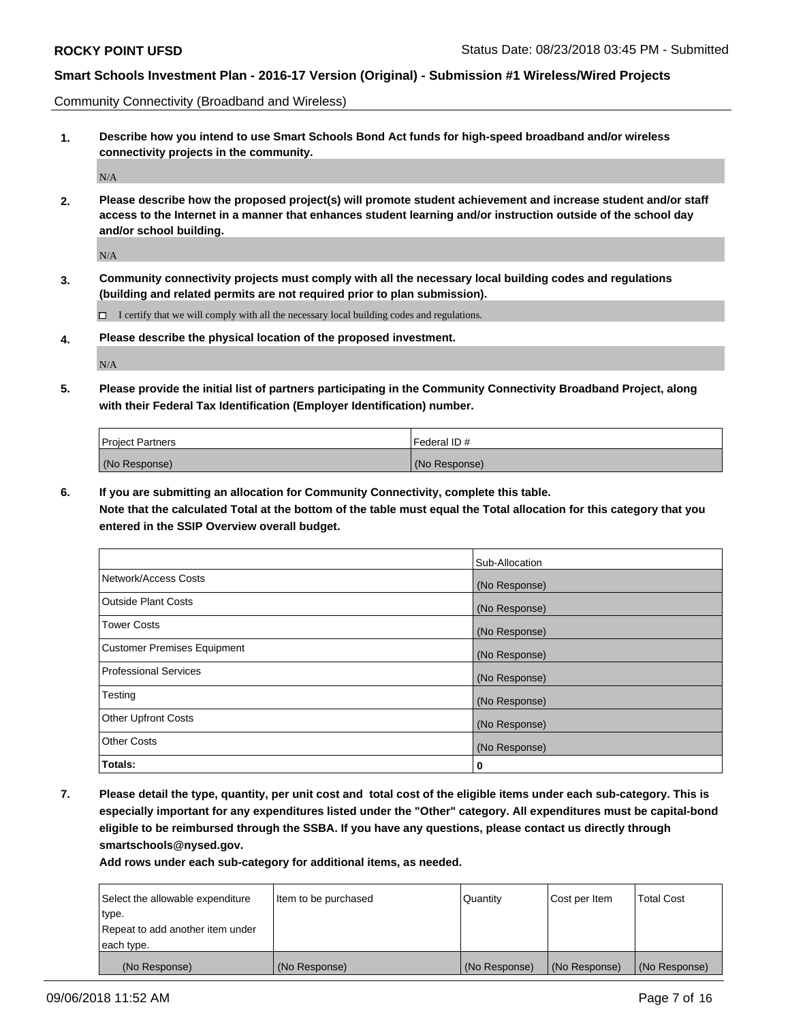Community Connectivity (Broadband and Wireless)

**1. Describe how you intend to use Smart Schools Bond Act funds for high-speed broadband and/or wireless connectivity projects in the community.**

 $\rm N/A$ 

**2. Please describe how the proposed project(s) will promote student achievement and increase student and/or staff access to the Internet in a manner that enhances student learning and/or instruction outside of the school day and/or school building.**

N/A

**3. Community connectivity projects must comply with all the necessary local building codes and regulations (building and related permits are not required prior to plan submission).**

 $\Box$  I certify that we will comply with all the necessary local building codes and regulations.

**4. Please describe the physical location of the proposed investment.**

N/A

**5. Please provide the initial list of partners participating in the Community Connectivity Broadband Project, along with their Federal Tax Identification (Employer Identification) number.**

| <b>Project Partners</b> | Federal ID#   |
|-------------------------|---------------|
| (No Response)           | (No Response) |

**6. If you are submitting an allocation for Community Connectivity, complete this table.**

**Note that the calculated Total at the bottom of the table must equal the Total allocation for this category that you entered in the SSIP Overview overall budget.**

|                              | Sub-Allocation |
|------------------------------|----------------|
| Network/Access Costs         | (No Response)  |
| Outside Plant Costs          | (No Response)  |
| <b>Tower Costs</b>           | (No Response)  |
| Customer Premises Equipment  | (No Response)  |
| <b>Professional Services</b> | (No Response)  |
| Testing                      | (No Response)  |
| <b>Other Upfront Costs</b>   | (No Response)  |
| <b>Other Costs</b>           | (No Response)  |
| Totals:                      | 0              |

**7. Please detail the type, quantity, per unit cost and total cost of the eligible items under each sub-category. This is especially important for any expenditures listed under the "Other" category. All expenditures must be capital-bond eligible to be reimbursed through the SSBA. If you have any questions, please contact us directly through smartschools@nysed.gov.**

| Select the allowable expenditure | Item to be purchased | Quantity      | Cost per Item | <b>Total Cost</b> |
|----------------------------------|----------------------|---------------|---------------|-------------------|
| type.                            |                      |               |               |                   |
| Repeat to add another item under |                      |               |               |                   |
| each type.                       |                      |               |               |                   |
| (No Response)                    | (No Response)        | (No Response) | (No Response) | (No Response)     |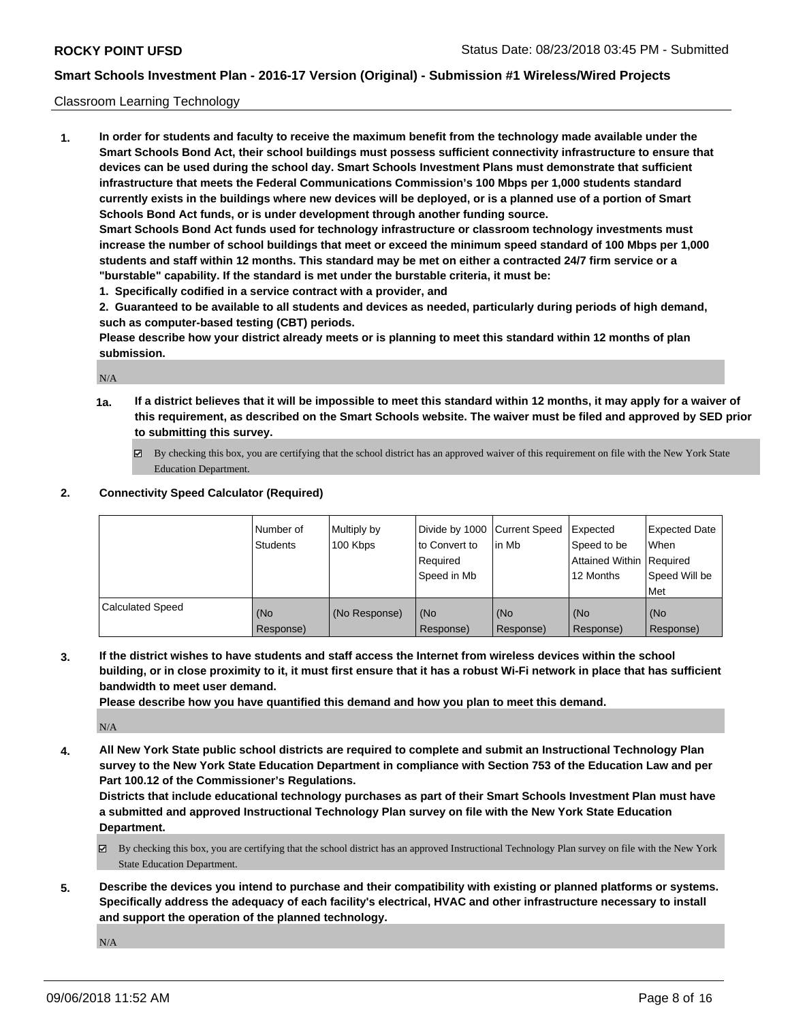#### Classroom Learning Technology

**1. In order for students and faculty to receive the maximum benefit from the technology made available under the Smart Schools Bond Act, their school buildings must possess sufficient connectivity infrastructure to ensure that devices can be used during the school day. Smart Schools Investment Plans must demonstrate that sufficient infrastructure that meets the Federal Communications Commission's 100 Mbps per 1,000 students standard currently exists in the buildings where new devices will be deployed, or is a planned use of a portion of Smart Schools Bond Act funds, or is under development through another funding source. Smart Schools Bond Act funds used for technology infrastructure or classroom technology investments must increase the number of school buildings that meet or exceed the minimum speed standard of 100 Mbps per 1,000 students and staff within 12 months. This standard may be met on either a contracted 24/7 firm service or a "burstable" capability. If the standard is met under the burstable criteria, it must be:**

**1. Specifically codified in a service contract with a provider, and**

**2. Guaranteed to be available to all students and devices as needed, particularly during periods of high demand, such as computer-based testing (CBT) periods.**

**Please describe how your district already meets or is planning to meet this standard within 12 months of plan submission.**

N/A

- **1a. If a district believes that it will be impossible to meet this standard within 12 months, it may apply for a waiver of this requirement, as described on the Smart Schools website. The waiver must be filed and approved by SED prior to submitting this survey.**
	- By checking this box, you are certifying that the school district has an approved waiver of this requirement on file with the New York State Education Department.

#### **2. Connectivity Speed Calculator (Required)**

|                         | Number of<br>Students | Multiply by<br>100 Kbps | Divide by 1000 Current Speed<br>to Convert to<br>Required<br>Speed in Mb | lin Mb           | Expected<br>Speed to be<br>Attained Within Required<br>12 Months | <b>Expected Date</b><br>When<br>Speed Will be<br><b>Met</b> |
|-------------------------|-----------------------|-------------------------|--------------------------------------------------------------------------|------------------|------------------------------------------------------------------|-------------------------------------------------------------|
| <b>Calculated Speed</b> | (No<br>Response)      | (No Response)           | (No<br>Response)                                                         | (No<br>Response) | (No<br>Response)                                                 | (No<br>Response)                                            |

**3. If the district wishes to have students and staff access the Internet from wireless devices within the school building, or in close proximity to it, it must first ensure that it has a robust Wi-Fi network in place that has sufficient bandwidth to meet user demand.**

**Please describe how you have quantified this demand and how you plan to meet this demand.**

N/A

**4. All New York State public school districts are required to complete and submit an Instructional Technology Plan survey to the New York State Education Department in compliance with Section 753 of the Education Law and per Part 100.12 of the Commissioner's Regulations.**

**Districts that include educational technology purchases as part of their Smart Schools Investment Plan must have a submitted and approved Instructional Technology Plan survey on file with the New York State Education Department.**

- $\boxtimes$  By checking this box, you are certifying that the school district has an approved Instructional Technology Plan survey on file with the New York State Education Department.
- **5. Describe the devices you intend to purchase and their compatibility with existing or planned platforms or systems. Specifically address the adequacy of each facility's electrical, HVAC and other infrastructure necessary to install and support the operation of the planned technology.**

N/A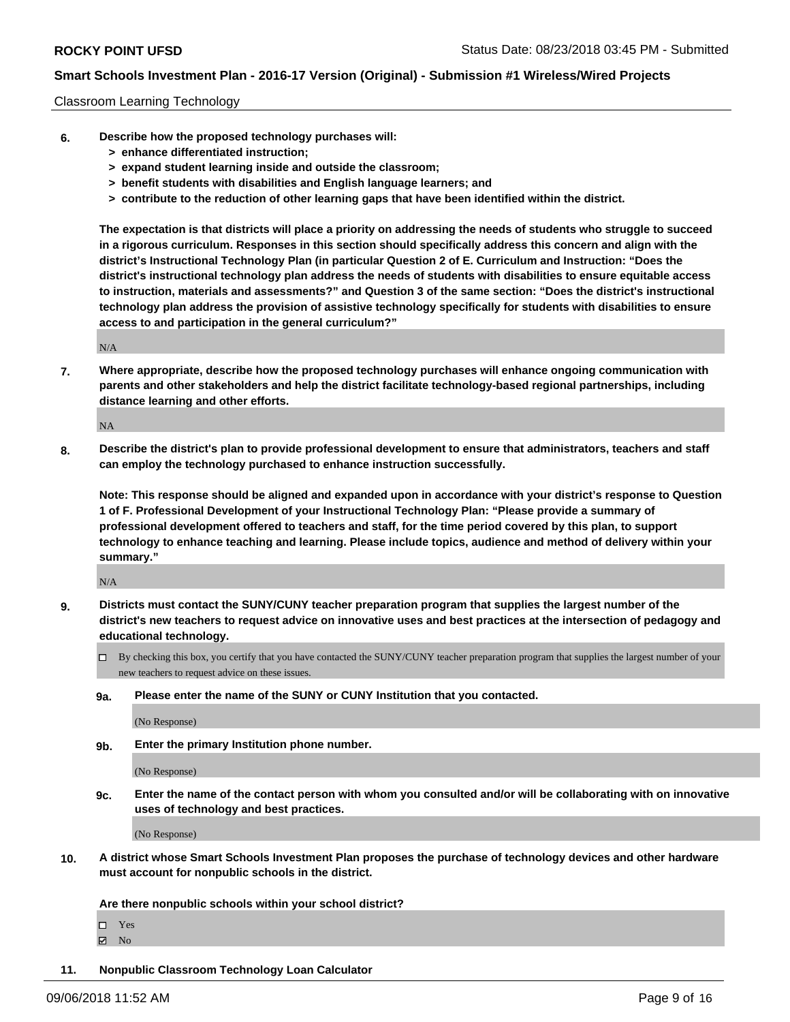#### Classroom Learning Technology

- **6. Describe how the proposed technology purchases will:**
	- **> enhance differentiated instruction;**
	- **> expand student learning inside and outside the classroom;**
	- **> benefit students with disabilities and English language learners; and**
	- **> contribute to the reduction of other learning gaps that have been identified within the district.**

**The expectation is that districts will place a priority on addressing the needs of students who struggle to succeed in a rigorous curriculum. Responses in this section should specifically address this concern and align with the district's Instructional Technology Plan (in particular Question 2 of E. Curriculum and Instruction: "Does the district's instructional technology plan address the needs of students with disabilities to ensure equitable access to instruction, materials and assessments?" and Question 3 of the same section: "Does the district's instructional technology plan address the provision of assistive technology specifically for students with disabilities to ensure access to and participation in the general curriculum?"**

N/A

**7. Where appropriate, describe how the proposed technology purchases will enhance ongoing communication with parents and other stakeholders and help the district facilitate technology-based regional partnerships, including distance learning and other efforts.**

NA

**8. Describe the district's plan to provide professional development to ensure that administrators, teachers and staff can employ the technology purchased to enhance instruction successfully.**

**Note: This response should be aligned and expanded upon in accordance with your district's response to Question 1 of F. Professional Development of your Instructional Technology Plan: "Please provide a summary of professional development offered to teachers and staff, for the time period covered by this plan, to support technology to enhance teaching and learning. Please include topics, audience and method of delivery within your summary."**

N/A

- **9. Districts must contact the SUNY/CUNY teacher preparation program that supplies the largest number of the district's new teachers to request advice on innovative uses and best practices at the intersection of pedagogy and educational technology.**
	- By checking this box, you certify that you have contacted the SUNY/CUNY teacher preparation program that supplies the largest number of your new teachers to request advice on these issues.
	- **9a. Please enter the name of the SUNY or CUNY Institution that you contacted.**

(No Response)

**9b. Enter the primary Institution phone number.**

(No Response)

**9c. Enter the name of the contact person with whom you consulted and/or will be collaborating with on innovative uses of technology and best practices.**

(No Response)

**10. A district whose Smart Schools Investment Plan proposes the purchase of technology devices and other hardware must account for nonpublic schools in the district.**

**Are there nonpublic schools within your school district?**

Yes

 $\boxtimes$  No

**11. Nonpublic Classroom Technology Loan Calculator**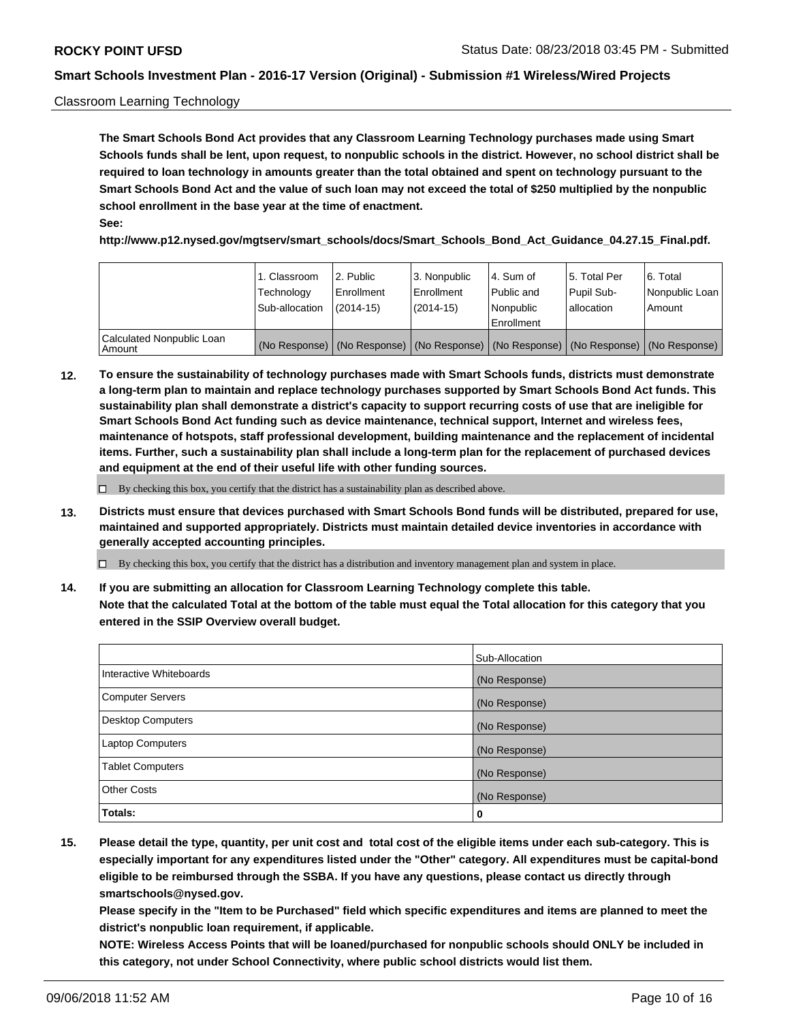#### Classroom Learning Technology

**The Smart Schools Bond Act provides that any Classroom Learning Technology purchases made using Smart Schools funds shall be lent, upon request, to nonpublic schools in the district. However, no school district shall be required to loan technology in amounts greater than the total obtained and spent on technology pursuant to the Smart Schools Bond Act and the value of such loan may not exceed the total of \$250 multiplied by the nonpublic school enrollment in the base year at the time of enactment. See:**

**http://www.p12.nysed.gov/mgtserv/smart\_schools/docs/Smart\_Schools\_Bond\_Act\_Guidance\_04.27.15\_Final.pdf.**

|                                       | 1. Classroom<br>Technology<br>Sub-allocation | 2. Public<br>l Enrollment<br>(2014-15) | l 3. Nonpublic<br>l Enrollment<br>$(2014 - 15)$ | l 4. Sum of<br>l Public and<br>l Nonpublic<br>Enrollment                                      | 15. Total Per<br>Pupil Sub-<br>l allocation | l 6. Total<br>Nonpublic Loan<br>Amount |
|---------------------------------------|----------------------------------------------|----------------------------------------|-------------------------------------------------|-----------------------------------------------------------------------------------------------|---------------------------------------------|----------------------------------------|
| Calculated Nonpublic Loan<br>l Amount |                                              |                                        |                                                 | (No Response)   (No Response)   (No Response)   (No Response)   (No Response)   (No Response) |                                             |                                        |

**12. To ensure the sustainability of technology purchases made with Smart Schools funds, districts must demonstrate a long-term plan to maintain and replace technology purchases supported by Smart Schools Bond Act funds. This sustainability plan shall demonstrate a district's capacity to support recurring costs of use that are ineligible for Smart Schools Bond Act funding such as device maintenance, technical support, Internet and wireless fees, maintenance of hotspots, staff professional development, building maintenance and the replacement of incidental items. Further, such a sustainability plan shall include a long-term plan for the replacement of purchased devices and equipment at the end of their useful life with other funding sources.**

 $\Box$  By checking this box, you certify that the district has a sustainability plan as described above.

**13. Districts must ensure that devices purchased with Smart Schools Bond funds will be distributed, prepared for use, maintained and supported appropriately. Districts must maintain detailed device inventories in accordance with generally accepted accounting principles.**

By checking this box, you certify that the district has a distribution and inventory management plan and system in place.

**14. If you are submitting an allocation for Classroom Learning Technology complete this table. Note that the calculated Total at the bottom of the table must equal the Total allocation for this category that you entered in the SSIP Overview overall budget.**

|                          | Sub-Allocation |
|--------------------------|----------------|
| Interactive Whiteboards  | (No Response)  |
| <b>Computer Servers</b>  | (No Response)  |
| <b>Desktop Computers</b> | (No Response)  |
| <b>Laptop Computers</b>  | (No Response)  |
| <b>Tablet Computers</b>  | (No Response)  |
| <b>Other Costs</b>       | (No Response)  |
| Totals:                  | 0              |

**15. Please detail the type, quantity, per unit cost and total cost of the eligible items under each sub-category. This is especially important for any expenditures listed under the "Other" category. All expenditures must be capital-bond eligible to be reimbursed through the SSBA. If you have any questions, please contact us directly through smartschools@nysed.gov.**

**Please specify in the "Item to be Purchased" field which specific expenditures and items are planned to meet the district's nonpublic loan requirement, if applicable.**

**NOTE: Wireless Access Points that will be loaned/purchased for nonpublic schools should ONLY be included in this category, not under School Connectivity, where public school districts would list them.**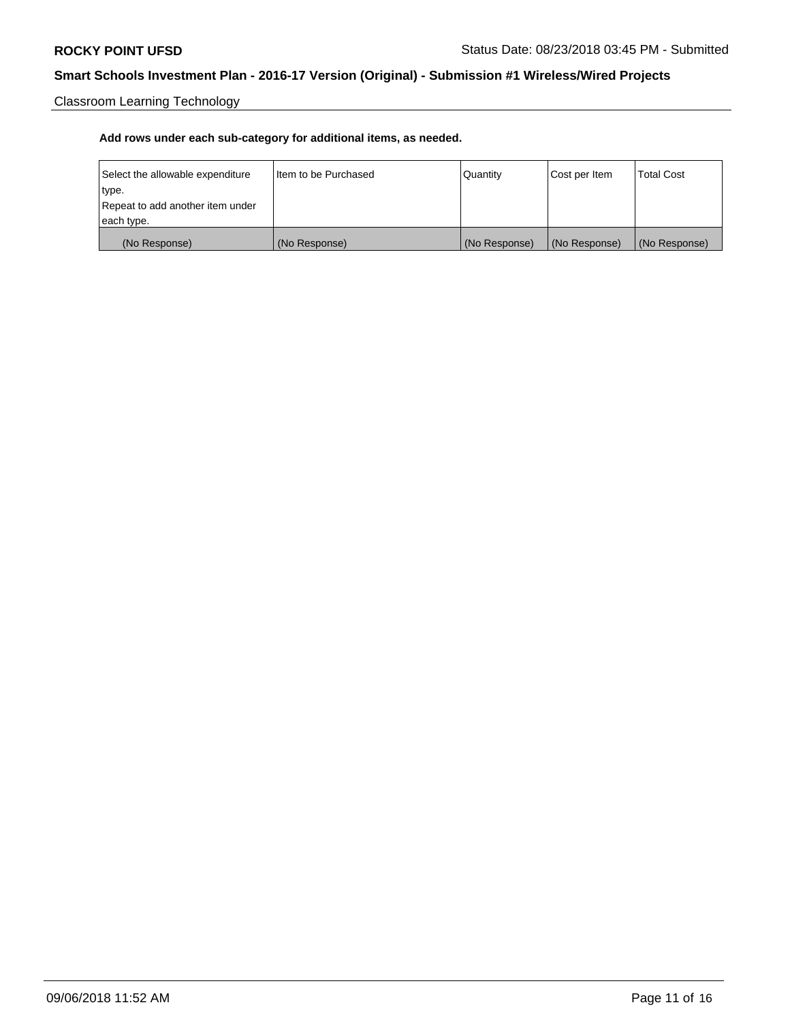Classroom Learning Technology

| Select the allowable expenditure | Iltem to be Purchased | Quantity      | Cost per Item | <b>Total Cost</b> |
|----------------------------------|-----------------------|---------------|---------------|-------------------|
| type.                            |                       |               |               |                   |
| Repeat to add another item under |                       |               |               |                   |
| each type.                       |                       |               |               |                   |
| (No Response)                    | (No Response)         | (No Response) | (No Response) | (No Response)     |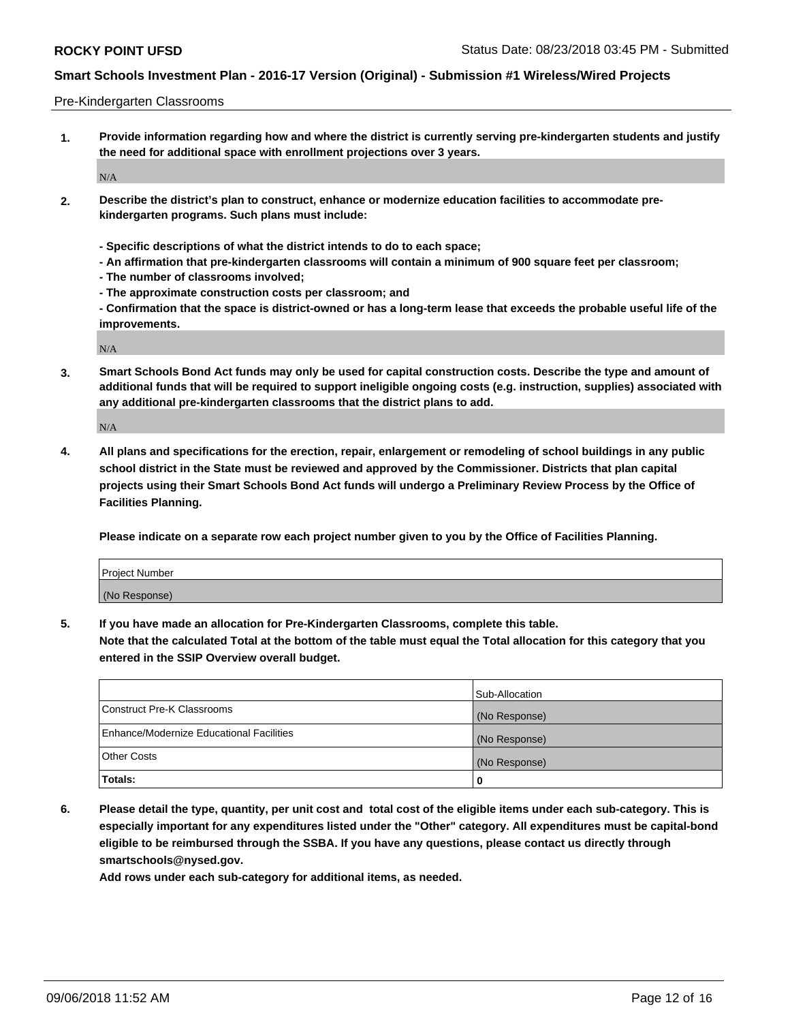Pre-Kindergarten Classrooms

**1. Provide information regarding how and where the district is currently serving pre-kindergarten students and justify the need for additional space with enrollment projections over 3 years.**

N/A

- **2. Describe the district's plan to construct, enhance or modernize education facilities to accommodate prekindergarten programs. Such plans must include:**
	- **Specific descriptions of what the district intends to do to each space;**
	- **An affirmation that pre-kindergarten classrooms will contain a minimum of 900 square feet per classroom;**
	- **The number of classrooms involved;**
	- **The approximate construction costs per classroom; and**
	- **Confirmation that the space is district-owned or has a long-term lease that exceeds the probable useful life of the improvements.**

N/A

**3. Smart Schools Bond Act funds may only be used for capital construction costs. Describe the type and amount of additional funds that will be required to support ineligible ongoing costs (e.g. instruction, supplies) associated with any additional pre-kindergarten classrooms that the district plans to add.**

N/A

**4. All plans and specifications for the erection, repair, enlargement or remodeling of school buildings in any public school district in the State must be reviewed and approved by the Commissioner. Districts that plan capital projects using their Smart Schools Bond Act funds will undergo a Preliminary Review Process by the Office of Facilities Planning.**

**Please indicate on a separate row each project number given to you by the Office of Facilities Planning.**

| Project Number |  |
|----------------|--|
| (No Response)  |  |
|                |  |

**5. If you have made an allocation for Pre-Kindergarten Classrooms, complete this table.**

**Note that the calculated Total at the bottom of the table must equal the Total allocation for this category that you entered in the SSIP Overview overall budget.**

|                                          | Sub-Allocation |
|------------------------------------------|----------------|
| Construct Pre-K Classrooms               | (No Response)  |
| Enhance/Modernize Educational Facilities | (No Response)  |
| <b>Other Costs</b>                       | (No Response)  |
| Totals:                                  | 0              |

**6. Please detail the type, quantity, per unit cost and total cost of the eligible items under each sub-category. This is especially important for any expenditures listed under the "Other" category. All expenditures must be capital-bond eligible to be reimbursed through the SSBA. If you have any questions, please contact us directly through smartschools@nysed.gov.**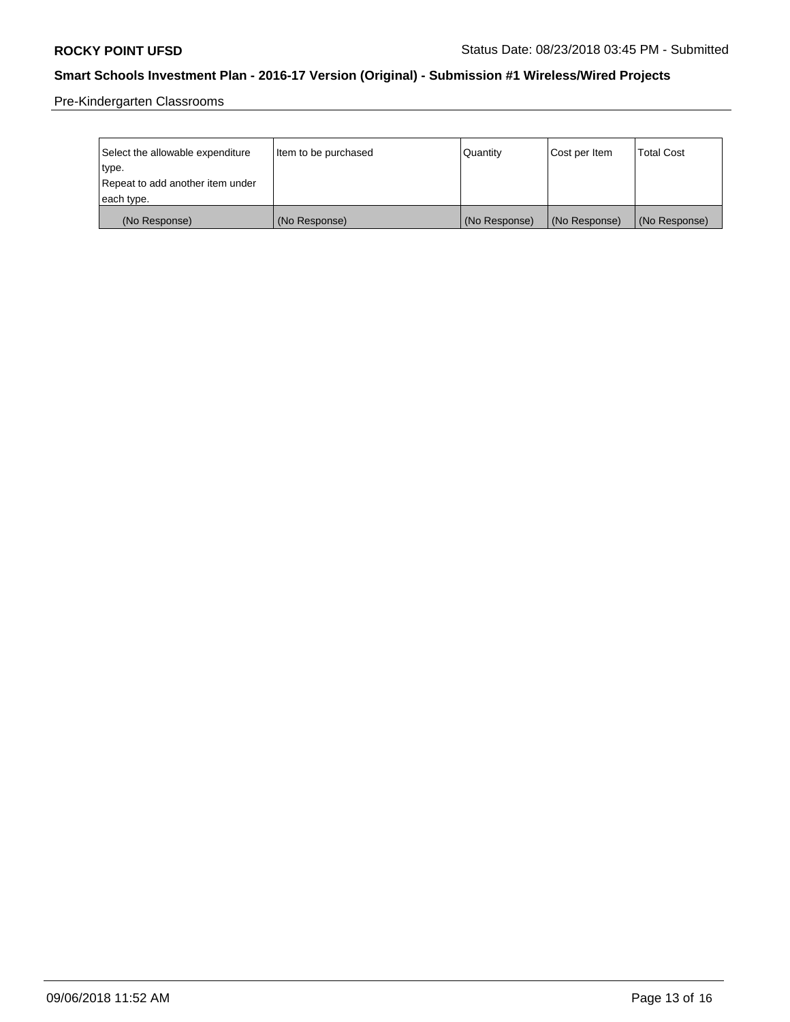Pre-Kindergarten Classrooms

| Select the allowable expenditure | Item to be purchased | Quantity      | Cost per Item | <b>Total Cost</b> |
|----------------------------------|----------------------|---------------|---------------|-------------------|
| type.                            |                      |               |               |                   |
| Repeat to add another item under |                      |               |               |                   |
| each type.                       |                      |               |               |                   |
| (No Response)                    | (No Response)        | (No Response) | (No Response) | (No Response)     |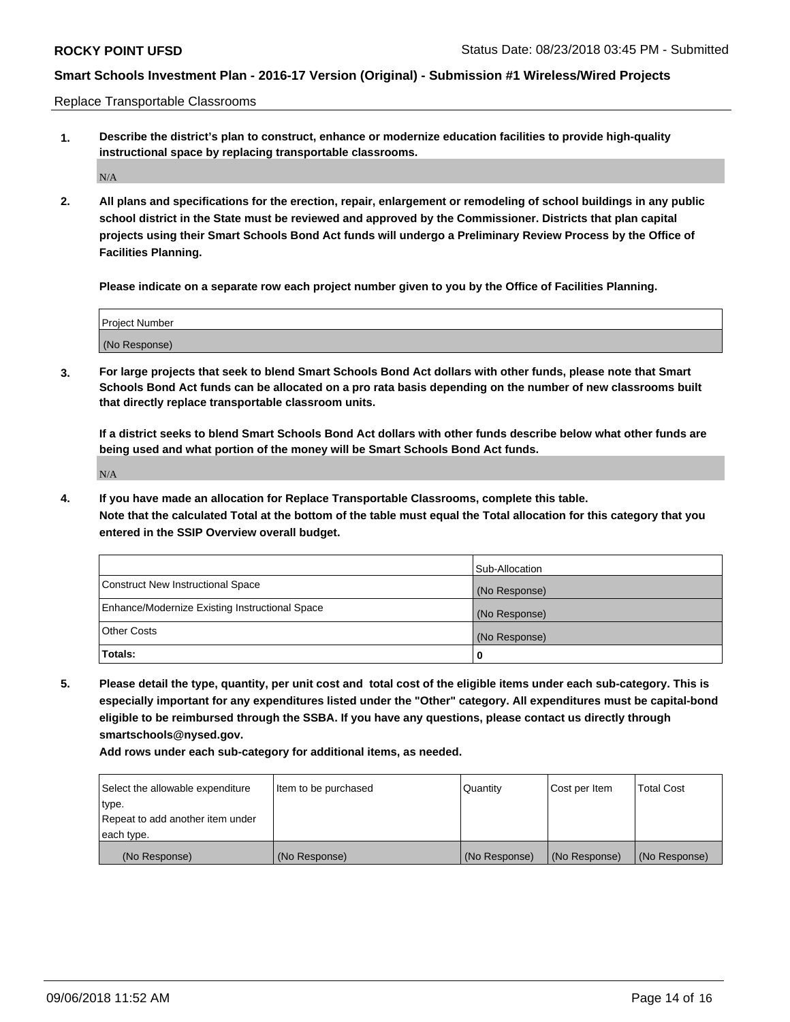Replace Transportable Classrooms

**1. Describe the district's plan to construct, enhance or modernize education facilities to provide high-quality instructional space by replacing transportable classrooms.**

 $\rm N/A$ 

**2. All plans and specifications for the erection, repair, enlargement or remodeling of school buildings in any public school district in the State must be reviewed and approved by the Commissioner. Districts that plan capital projects using their Smart Schools Bond Act funds will undergo a Preliminary Review Process by the Office of Facilities Planning.**

**Please indicate on a separate row each project number given to you by the Office of Facilities Planning.**

| Project Number |  |
|----------------|--|
|                |  |
| (No Response)  |  |

**3. For large projects that seek to blend Smart Schools Bond Act dollars with other funds, please note that Smart Schools Bond Act funds can be allocated on a pro rata basis depending on the number of new classrooms built that directly replace transportable classroom units.**

**If a district seeks to blend Smart Schools Bond Act dollars with other funds describe below what other funds are being used and what portion of the money will be Smart Schools Bond Act funds.**

N/A

**4. If you have made an allocation for Replace Transportable Classrooms, complete this table. Note that the calculated Total at the bottom of the table must equal the Total allocation for this category that you entered in the SSIP Overview overall budget.**

|                                                | Sub-Allocation |
|------------------------------------------------|----------------|
| Construct New Instructional Space              | (No Response)  |
| Enhance/Modernize Existing Instructional Space | (No Response)  |
| <b>Other Costs</b>                             | (No Response)  |
| Totals:                                        | 0              |

**5. Please detail the type, quantity, per unit cost and total cost of the eligible items under each sub-category. This is especially important for any expenditures listed under the "Other" category. All expenditures must be capital-bond eligible to be reimbursed through the SSBA. If you have any questions, please contact us directly through smartschools@nysed.gov.**

| Select the allowable expenditure | Item to be purchased | Quantity      | Cost per Item | Total Cost    |
|----------------------------------|----------------------|---------------|---------------|---------------|
| type.                            |                      |               |               |               |
| Repeat to add another item under |                      |               |               |               |
| each type.                       |                      |               |               |               |
| (No Response)                    | (No Response)        | (No Response) | (No Response) | (No Response) |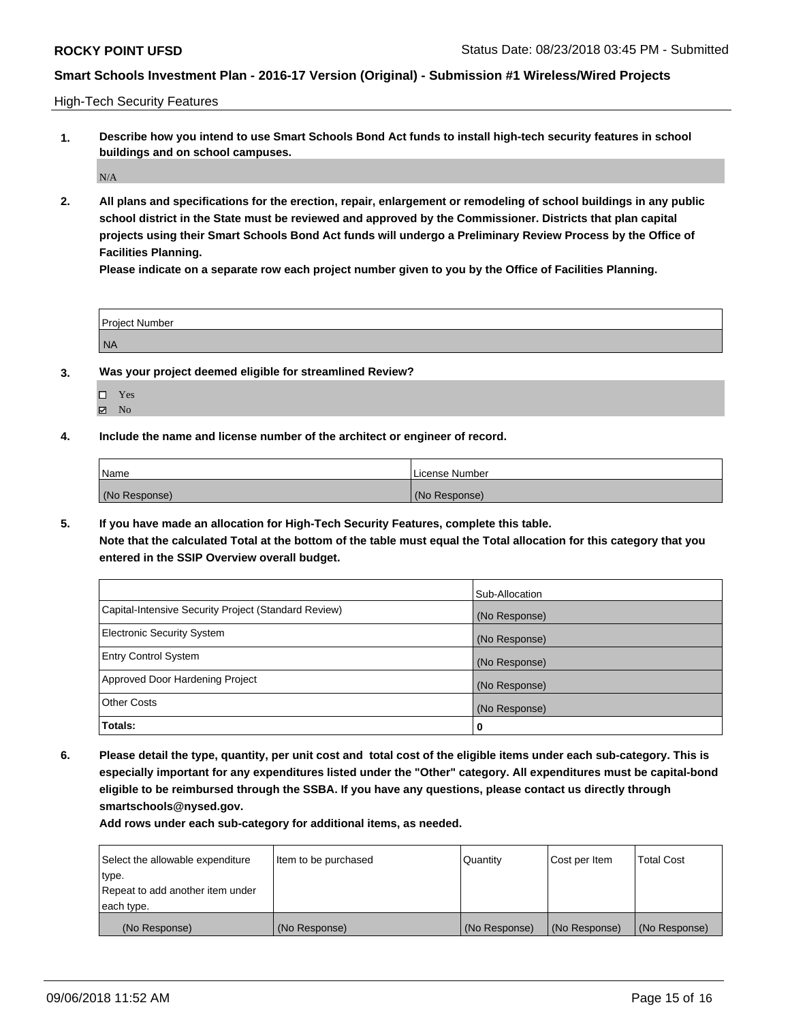High-Tech Security Features

**1. Describe how you intend to use Smart Schools Bond Act funds to install high-tech security features in school buildings and on school campuses.**

 $\rm N/A$ 

**2. All plans and specifications for the erection, repair, enlargement or remodeling of school buildings in any public school district in the State must be reviewed and approved by the Commissioner. Districts that plan capital projects using their Smart Schools Bond Act funds will undergo a Preliminary Review Process by the Office of Facilities Planning.** 

**Please indicate on a separate row each project number given to you by the Office of Facilities Planning.**

| <b>Project Number</b> |  |
|-----------------------|--|
| NA                    |  |

- **3. Was your project deemed eligible for streamlined Review?**
	- Yes  $\boxtimes$  No
- **4. Include the name and license number of the architect or engineer of record.**

| Name          | License Number |
|---------------|----------------|
| (No Response) | (No Response)  |

**5. If you have made an allocation for High-Tech Security Features, complete this table.**

**Note that the calculated Total at the bottom of the table must equal the Total allocation for this category that you entered in the SSIP Overview overall budget.**

|                                                      | Sub-Allocation |
|------------------------------------------------------|----------------|
| Capital-Intensive Security Project (Standard Review) | (No Response)  |
| <b>Electronic Security System</b>                    | (No Response)  |
| <b>Entry Control System</b>                          | (No Response)  |
| Approved Door Hardening Project                      | (No Response)  |
| <b>Other Costs</b>                                   | (No Response)  |
| Totals:                                              | 0              |

**6. Please detail the type, quantity, per unit cost and total cost of the eligible items under each sub-category. This is especially important for any expenditures listed under the "Other" category. All expenditures must be capital-bond eligible to be reimbursed through the SSBA. If you have any questions, please contact us directly through smartschools@nysed.gov.**

| Select the allowable expenditure | Item to be purchased | Quantity      | Cost per Item | <b>Total Cost</b> |
|----------------------------------|----------------------|---------------|---------------|-------------------|
| type.                            |                      |               |               |                   |
| Repeat to add another item under |                      |               |               |                   |
| each type.                       |                      |               |               |                   |
| (No Response)                    | (No Response)        | (No Response) | (No Response) | (No Response)     |